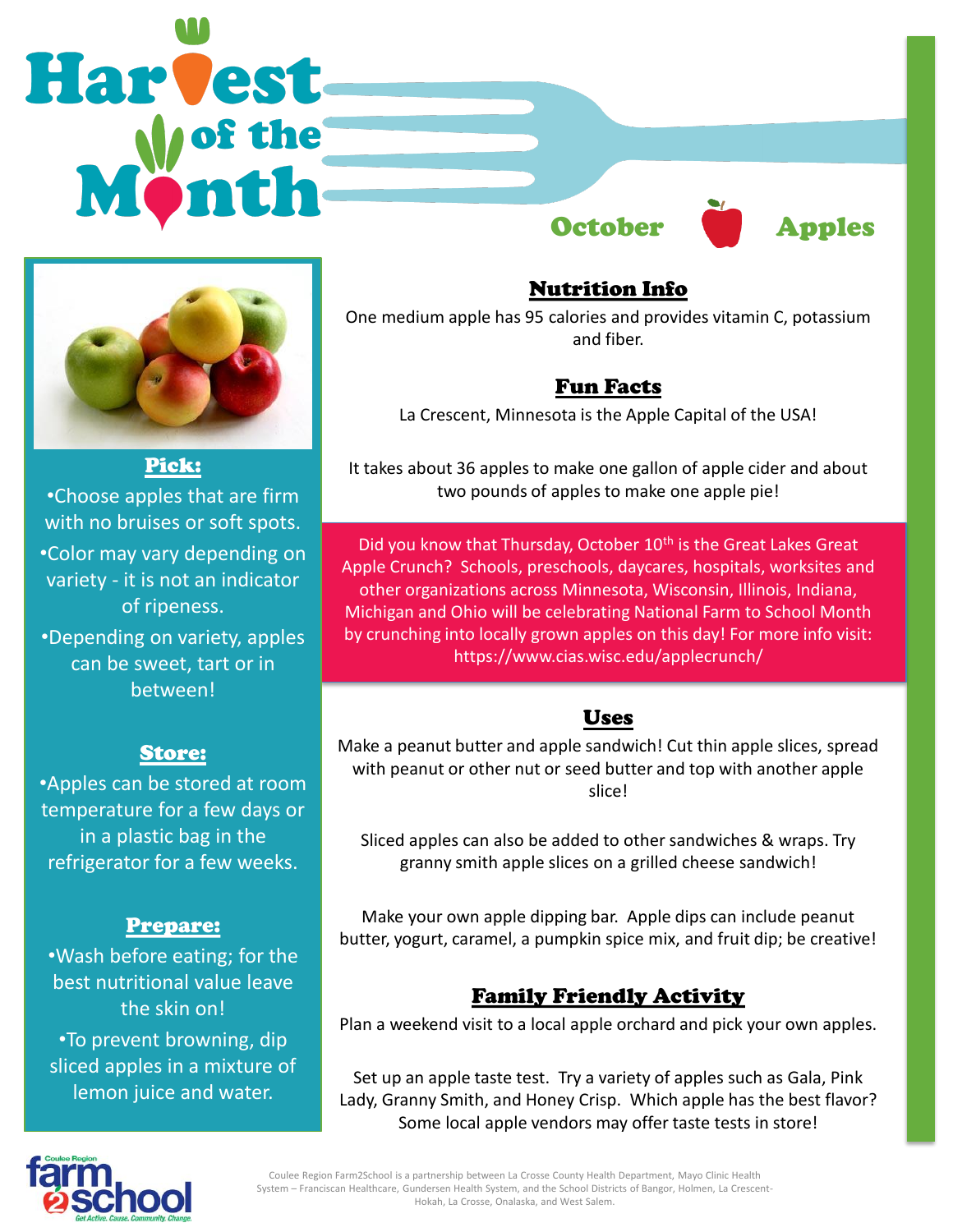



Pick: •Choose apples that are firm with no bruises or soft spots. •Color may vary depending on variety - it is not an indicator of ripeness. •Depending on variety, apples can be sweet, tart or in

between!

### Store:

•Apples can be stored at room temperature for a few days or in a plastic bag in the refrigerator for a few weeks.

### Prepare:

•Wash before eating; for the best nutritional value leave the skin on! •To prevent browning, dip sliced apples in a mixture of lemon juice and water.

Nutrition Info

One medium apple has 95 calories and provides vitamin C, potassium and fiber.

## Fun Facts

La Crescent, Minnesota is the Apple Capital of the USA!

It takes about 36 apples to make one gallon of apple cider and about two pounds of apples to make one apple pie!

11 Michigan and Ohio will be celebrating National Farm to School Month Did you know that Thursday, October 10<sup>th</sup> is the Great Lakes Great Apple Crunch? Schools, preschools, daycares, hospitals, worksites and other organizations across Minnesota, Wisconsin, Illinois, Indiana, by crunching into locally grown apples on this day! For more info visit: https://www.cias.wisc.edu/applecrunch/

## Uses

Make a peanut butter and apple sandwich! Cut thin apple slices, spread with peanut or other nut or seed butter and top with another apple slice!

Sliced apples can also be added to other sandwiches & wraps. Try granny smith apple slices on a grilled cheese sandwich!

Make your own apple dipping bar. Apple dips can include peanut butter, yogurt, caramel, a pumpkin spice mix, and fruit dip; be creative!

# Family Friendly Activity

Plan a weekend visit to a local apple orchard and pick your own apples.

Set up an apple taste test. Try a variety of apples such as Gala, Pink Lady, Granny Smith, and Honey Crisp. Which apple has the best flavor? Some local apple vendors may offer taste tests in store!



Coulee Region Farm2School is a partnership between La Crosse County Health Department, Mayo Clinic Health System – Franciscan Healthcare, Gundersen Health System, and the School Districts of Bangor, Holmen, La Crescent-Hokah, La Crosse, Onalaska, and West Salem.